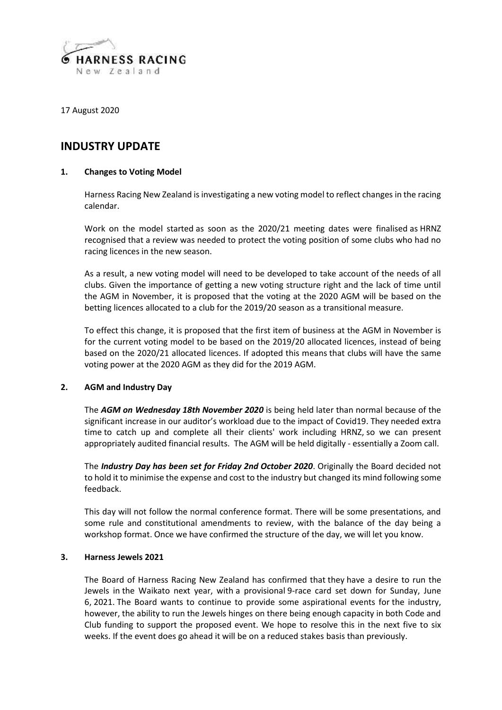

17 August 2020

# **INDUSTRY UPDATE**

# **1. Changes to Voting Model**

Harness Racing New Zealand is investigating a new voting model to reflect changes in the racing calendar.

Work on the model started as soon as the 2020/21 meeting dates were finalised as HRNZ recognised that a review was needed to protect the voting position of some clubs who had no racing licences in the new season.

As a result, a new voting model will need to be developed to take account of the needs of all clubs. Given the importance of getting a new voting structure right and the lack of time until the AGM in November, it is proposed that the voting at the 2020 AGM will be based on the betting licences allocated to a club for the 2019/20 season as a transitional measure.

To effect this change, it is proposed that the first item of business at the AGM in November is for the current voting model to be based on the 2019/20 allocated licences, instead of being based on the 2020/21 allocated licences. If adopted this means that clubs will have the same voting power at the 2020 AGM as they did for the 2019 AGM.

# **2. AGM and Industry Day**

The *AGM on Wednesday 18th November 2020* is being held later than normal because of the significant increase in our auditor's workload due to the impact of Covid19. They needed extra time to catch up and complete all their clients' work including HRNZ, so we can present appropriately audited financial results. The AGM will be held digitally - essentially a Zoom call.

The *Industry Day has been set for Friday 2nd October 2020*. Originally the Board decided not to hold it to minimise the expense and cost to the industry but changed its mind following some feedback.

This day will not follow the normal conference format. There will be some presentations, and some rule and constitutional amendments to review, with the balance of the day being a workshop format. Once we have confirmed the structure of the day, we will let you know.

#### **3. Harness Jewels 2021**

The Board of Harness Racing New Zealand has confirmed that they have a desire to run the Jewels in the Waikato next year, with a provisional 9-race card set down for Sunday, June 6, 2021. The Board wants to continue to provide some aspirational events for the industry, however, the ability to run the Jewels hinges on there being enough capacity in both Code and Club funding to support the proposed event. We hope to resolve this in the next five to six weeks. If the event does go ahead it will be on a reduced stakes basis than previously.